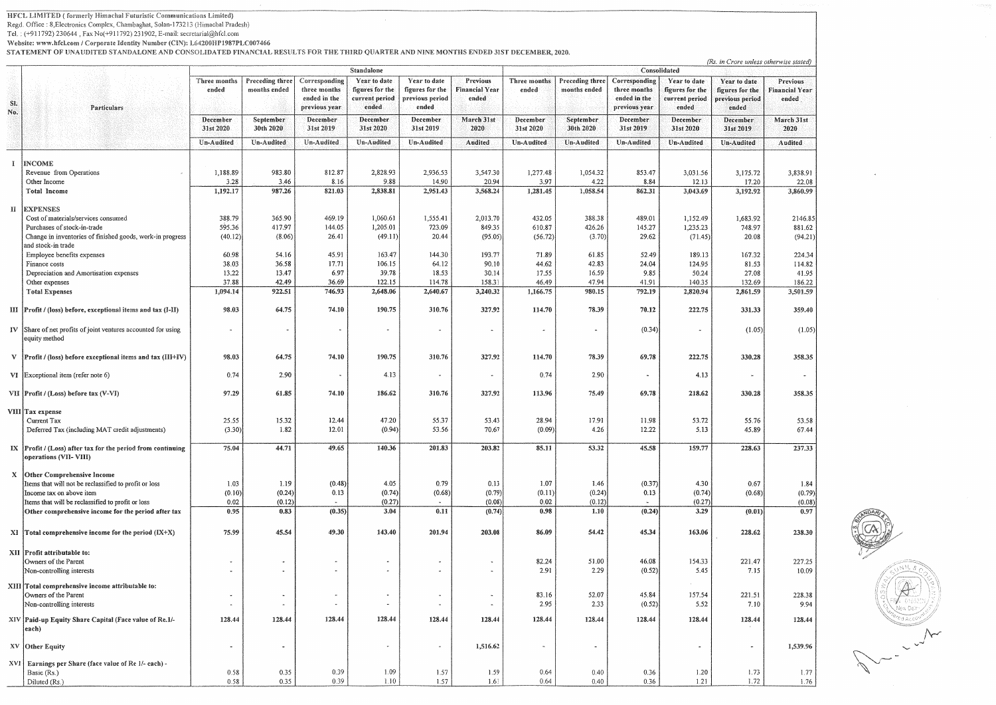HFCL LIMITED (formerly Himachal Futuristic Communications Limited)

Regd. Office: 8, Electronics Complex, Chambaghat, Solan-173213 (Himachal Pradesh)

Tel.: (+911792) 230644, Fax No(+911792) 231902, E-mail: secretarial@hfcl.com

Website: www.hfcl.com / Corporate Identity Number (CIN): L64200HP1987PLC007466<br>STATEMENT OF UNAUDITED STANDALONE AND CONSOLIDATED FINANCIAL RESULTS FOR THE THIRD QUARTER AND NINE MONTHS ENDED 31ST DECEMBER, 2020.

|               |                                                                                        | 31ATEMENT OF UNAUDITED STANDADONE AND CONSOLIDATED FINANCIAL RESULTS FON THE HHAD QUANTER AND NINE MONTHS ENTRED 31ST DECEMBER, 2929.<br>Standalone |                                 |                                                                |                                                            |                                                             |                                            |                       | (Rs. in Crore unless otherwise stated)<br>Consolidated |                                                                |                                                            |                                                             |                                                   |  |  |
|---------------|----------------------------------------------------------------------------------------|-----------------------------------------------------------------------------------------------------------------------------------------------------|---------------------------------|----------------------------------------------------------------|------------------------------------------------------------|-------------------------------------------------------------|--------------------------------------------|-----------------------|--------------------------------------------------------|----------------------------------------------------------------|------------------------------------------------------------|-------------------------------------------------------------|---------------------------------------------------|--|--|
| SI.<br>No.    | Particulars                                                                            | Three months<br>ended                                                                                                                               | Preceding three<br>months ended | Corresponding<br>three months<br>ended in the<br>previous year | Year to date<br>figures for the<br>current period<br>ended | Year to date<br>figures for the<br>previous period<br>ended | Previous<br><b>Financial Year</b><br>ended | Three months<br>ended | Preceding three<br>months ended                        | Corresponding<br>three months<br>ended in the<br>previous year | Year to date<br>figures for the<br>current period<br>ended | Year to date<br>figures for the<br>previous period<br>ended | <b>Previous</b><br><b>Financial Year</b><br>ended |  |  |
|               |                                                                                        | December<br>31st 2020                                                                                                                               | September<br>30th 2020          | December<br>31st 2019                                          | December<br>31st 2020                                      | December<br>31st 2019                                       | March 31st<br>2020                         | December<br>31st 2020 | September<br>30th 2020                                 | December<br>31st 2019                                          | December<br>31st 2020                                      | December<br>31st 2019                                       | March 31st<br>2020                                |  |  |
|               |                                                                                        | Un-Audited                                                                                                                                          | Un-Audited                      | Un-Audited                                                     | Un-Audited                                                 | Un-Audited                                                  | Audited                                    | Un-Audited            | Un-Audited                                             | Un-Audited                                                     | Un-Audited                                                 | Un-Audited                                                  | Audited                                           |  |  |
|               |                                                                                        |                                                                                                                                                     |                                 |                                                                |                                                            |                                                             |                                            |                       |                                                        |                                                                |                                                            |                                                             |                                                   |  |  |
| $\frac{3}{2}$ | <b>INCOME</b><br>Revenue from Operations                                               | 1,188.89                                                                                                                                            | 983.80                          | 812.87                                                         | 2,828.93                                                   | 2,936.53                                                    | 3,547.30                                   | 1,277.48              | 1,054.32                                               | 853.47                                                         | 3,031.56                                                   | 3,175.72                                                    | 3,838.91                                          |  |  |
|               | Other Income                                                                           | 3.28                                                                                                                                                | 3.46                            | 8.16                                                           | 9.88                                                       | 14.90                                                       | 20.94                                      | 3.97                  | 4.22                                                   | 8.84                                                           | 12.13                                                      | 17.20                                                       | 22.08                                             |  |  |
|               | Total Income                                                                           | 1,192.17                                                                                                                                            | 987.26                          | 821.03                                                         | 2,838.81                                                   | 2,951.43                                                    | 3,568.24                                   | 1,281.45              | 1,058.54                                               | 862.31                                                         | 3,043.69                                                   | 3,192.92                                                    | 3,860.99                                          |  |  |
| H             | <b>EXPENSES</b>                                                                        |                                                                                                                                                     |                                 |                                                                |                                                            |                                                             |                                            |                       |                                                        |                                                                |                                                            |                                                             |                                                   |  |  |
|               | Cost of materials/services consumed                                                    | 388.79                                                                                                                                              | 365.90                          | 469.19                                                         | 1,060.61                                                   | 1,555.41                                                    | 2,013.70                                   | 432.05                | 388.38                                                 | 489.01                                                         | 1,152.49                                                   | 1,683.92                                                    | 2146.85                                           |  |  |
|               | Purchases of stock-in-trade                                                            | 595.36                                                                                                                                              | 417.97                          | 144.05                                                         | 1,205.01                                                   | 723.09                                                      | 849.35                                     | 610,87                | 426.26                                                 | 145.27                                                         | 1,235.23                                                   | 748.97                                                      | 881.62                                            |  |  |
|               | Change in inventories of finished goods, work-in progress<br>and stock-in trade        | (40.12)                                                                                                                                             | (8.06)                          | 26.41                                                          | (49.11)                                                    | 20.44                                                       | (95.05)                                    | (56.72)               | (3.70)                                                 | 29.62                                                          | (71.45)                                                    | 20.08                                                       | (94.21)                                           |  |  |
|               | Employee benefits expenses                                                             | 60.98                                                                                                                                               | 54.16                           | 45.91                                                          | 163.47                                                     | 144.30                                                      | 193.77                                     | 71.89                 | 61.85                                                  | 52.49                                                          | 189.13                                                     | 167.32                                                      | 224.34                                            |  |  |
|               | Finance costs                                                                          | 38.03                                                                                                                                               | 36.58                           | 17.71                                                          | 106.15                                                     | 64.12                                                       | 90.10                                      | 44.62                 | 42.83                                                  | 24.04                                                          | 124.95                                                     | 81.53                                                       | 114.82                                            |  |  |
|               | Depreciation and Amortisation expenses                                                 | 13.22                                                                                                                                               | 13.47                           | 6.97                                                           | 39.78                                                      | 18.53                                                       | 30.14                                      | 17.55                 | 16.59                                                  | 9.85                                                           | 50.24                                                      | 27.08                                                       | 41.95                                             |  |  |
|               | Other expenses<br><b>Total Expenses</b>                                                | 37.88<br>1,094.14                                                                                                                                   | 42.49<br>922.51                 | 36.69<br>746.93                                                | 122.15<br>2,648.06                                         | 114.78<br>2,640.67                                          | 158.31<br>3,240.32                         | 46.49<br>1,166.75     | 47.94<br>980.15                                        | 41.91<br>792.19                                                | 140.35<br>2,820.94                                         | 132.69<br>2,861.59                                          | 186.22<br>3,501.59                                |  |  |
|               |                                                                                        |                                                                                                                                                     |                                 |                                                                |                                                            |                                                             |                                            |                       |                                                        |                                                                |                                                            |                                                             |                                                   |  |  |
|               | III Profit / (loss) before, exceptional items and tax (I-II)                           | 98.03                                                                                                                                               | 64.75                           | 74.10                                                          | 190.75                                                     | 310.76                                                      | 327.92                                     | 114.70                | 78.39                                                  | 70.12                                                          | 222.75                                                     | 331.33                                                      | 359.40                                            |  |  |
| $\bf{IV}$     | Share of net profits of joint ventures accounted for using<br>equity method            |                                                                                                                                                     |                                 |                                                                |                                                            | $\alpha$                                                    |                                            | ۰                     | $\blacksquare$                                         | (0.34)                                                         | $\bullet$                                                  | (1.05)                                                      | (1.05)                                            |  |  |
|               | $V$ Profit / (loss) before exceptional items and tax (III+IV)                          | 98.03                                                                                                                                               | 64.75                           | 74.10                                                          | 190.75                                                     | 310.76                                                      | 327.92                                     | 114.70                | 78.39                                                  | 69.78                                                          | 222.75                                                     | 330.28                                                      | 358.35                                            |  |  |
|               | $VI$ Exceptional item (refer note 6)                                                   | 0.74                                                                                                                                                | 2.90                            |                                                                | 4.13                                                       |                                                             |                                            | 0.74                  | 2.90                                                   | $\blacksquare$                                                 | 4.13                                                       |                                                             |                                                   |  |  |
|               | VII Profit / (Loss) before tax (V-VI)                                                  | 97.29                                                                                                                                               | 61.85                           | 74.10                                                          | 186.62                                                     | 310.76                                                      | 327.92                                     | 113.96                | 75.49                                                  | 69.78                                                          | 218.62                                                     | 330.28                                                      | 358.35                                            |  |  |
|               | VIII Tax expense                                                                       |                                                                                                                                                     |                                 |                                                                | 47.20                                                      | 55.37                                                       |                                            | 28.94                 | 17.91                                                  |                                                                |                                                            |                                                             |                                                   |  |  |
|               | Current Tax<br>Deferred Tax (including MAT credit adjustments)                         | 25.55<br>(3.30)                                                                                                                                     | 15.32<br>1.82                   | 12.44<br>12.01                                                 | (0.94)                                                     | 53.56                                                       | 53.43<br>70.67                             | (0.09)                | 4.26                                                   | 11.98<br>12.22                                                 | 53.72<br>5.13                                              | 55.76<br>45.89                                              | 53.58<br>67.44                                    |  |  |
|               |                                                                                        |                                                                                                                                                     |                                 |                                                                |                                                            |                                                             |                                            |                       |                                                        |                                                                |                                                            |                                                             |                                                   |  |  |
|               | $IX$ Profit / (Loss) after tax for the period from continuing<br>operations (VII-VIII) | 75.04                                                                                                                                               | 44.71                           | 49.65                                                          | 140.36                                                     | 201.83                                                      | 203.82                                     | 85.11                 | 53.32                                                  | 45.58                                                          | 159.77                                                     | 228.63                                                      | 237.33                                            |  |  |
| $\mathbf{X}$  | Other Comprehensive Income                                                             |                                                                                                                                                     |                                 |                                                                |                                                            |                                                             |                                            |                       |                                                        |                                                                |                                                            |                                                             |                                                   |  |  |
|               | Items that will not be reclassified to profit or loss                                  | 1.03                                                                                                                                                | 1.19                            | (0.48)                                                         | 4.05                                                       | 0.79                                                        | 0.13                                       | 1.07                  | 1.46                                                   | (0.37)                                                         | 4.30                                                       | 0.67                                                        | 1.84                                              |  |  |
|               | Income tax on above item<br>Items that will be reclassified to profit or loss          | (0.10)<br>0.02                                                                                                                                      | (0.24)<br>(0.12)                | 0.13<br>$\sim$ 100 $\sim$                                      | (0.74)<br>(0.27)                                           | (0.68)<br>$\bullet$ .                                       | (0.79)<br>(0.08)                           | (0.11)<br>0.02        | (0.24)<br>(0.12)                                       | 0.13<br>$\sim$                                                 | (0.74)<br>(0.27)                                           | (0.68)                                                      | (0.79)<br>(0.08)                                  |  |  |
|               | Other comprehensive income for the period after tax                                    | 0.95                                                                                                                                                | 0.83                            | (0.35)                                                         | 3.04                                                       | 0.11                                                        | (0.74)                                     | 0.98                  | 1.10                                                   | (0.24)                                                         | 3.29                                                       | (0.01)                                                      | 0.97                                              |  |  |
|               | $XI$ Total comprehensive income for the period (IX+X)                                  | 75.99                                                                                                                                               | 45.54                           | 49.30                                                          | 143,40                                                     | 201.94                                                      | 203.08                                     | 86.09                 | 54.42                                                  | 45.34                                                          | 163.06                                                     | 228.62                                                      | 238.30                                            |  |  |
|               |                                                                                        |                                                                                                                                                     |                                 |                                                                |                                                            |                                                             |                                            |                       |                                                        |                                                                |                                                            |                                                             |                                                   |  |  |
|               | XII Profit attributable to:<br>Owners of the Parent                                    |                                                                                                                                                     | $\sim$                          | $\bullet$                                                      | ٠                                                          | $\sim$                                                      |                                            | 82.24                 | 51.00                                                  | 46.08                                                          | 154.33                                                     | 221.47                                                      | 227.25                                            |  |  |
|               | Non-controlling interests                                                              |                                                                                                                                                     |                                 | $\tilde{\phantom{a}}$                                          |                                                            |                                                             |                                            | 2.91                  | 2.29                                                   | (0.52)                                                         | 5.45                                                       | 7.15                                                        | 10.09                                             |  |  |
|               | XIII Total comprehensive income attributable to:                                       |                                                                                                                                                     |                                 |                                                                |                                                            |                                                             |                                            |                       |                                                        |                                                                |                                                            |                                                             |                                                   |  |  |
|               | Owners of the Parent                                                                   |                                                                                                                                                     |                                 | $\tilde{\phantom{a}}$                                          | $\bullet$                                                  |                                                             |                                            | 83.16                 | 52.07                                                  | 45.84                                                          | 157.54                                                     | 221.51                                                      | 228.38                                            |  |  |
|               | Non-controlling interests                                                              |                                                                                                                                                     | $\sim$                          | ۰                                                              | $\tilde{\phantom{a}}$                                      | $\sim$                                                      | $\bullet$                                  | 2.95                  | 2.33                                                   | (0.52)                                                         | 5.52                                                       | 7.10                                                        | 9.94                                              |  |  |
|               | XIV Paid-up Equity Share Capital (Face value of Re.1/-<br>each)                        | 128.44                                                                                                                                              | 128.44                          | 128.44                                                         | 128.44                                                     | 128.44                                                      | 128.44                                     | 128.44                | 128.44                                                 | 128.44                                                         | 128.44                                                     | 128.44                                                      | 128.44                                            |  |  |
|               | $XV$ Other Equity                                                                      | $\blacksquare$                                                                                                                                      | $\blacksquare$                  |                                                                |                                                            | $\sim$                                                      | 1,516.62                                   |                       | $\hat{\phantom{a}}$                                    |                                                                | $\sim$                                                     |                                                             | 1,539.96                                          |  |  |
|               | XVI   Earnings per Share (face value of Re 1/- each) -                                 |                                                                                                                                                     |                                 |                                                                |                                                            |                                                             |                                            |                       |                                                        |                                                                |                                                            |                                                             |                                                   |  |  |
|               | Basic (Rs.)                                                                            | 0.58                                                                                                                                                | 0.35                            | 0.39                                                           | 1.09                                                       | 1.57                                                        | 1.59                                       | 0.64                  | 0.40                                                   | 0.36                                                           | 1.20                                                       | 1.73                                                        | 1.77                                              |  |  |
|               | Diluted (Rs.)                                                                          | 0.58                                                                                                                                                | 0.35                            | 0.39                                                           | $1.10\,$                                                   | 1.57                                                        | 1.61                                       | 0.64                  | 0.40                                                   | 0.36                                                           | 1.21                                                       | 1.72                                                        | 1.76                                              |  |  |

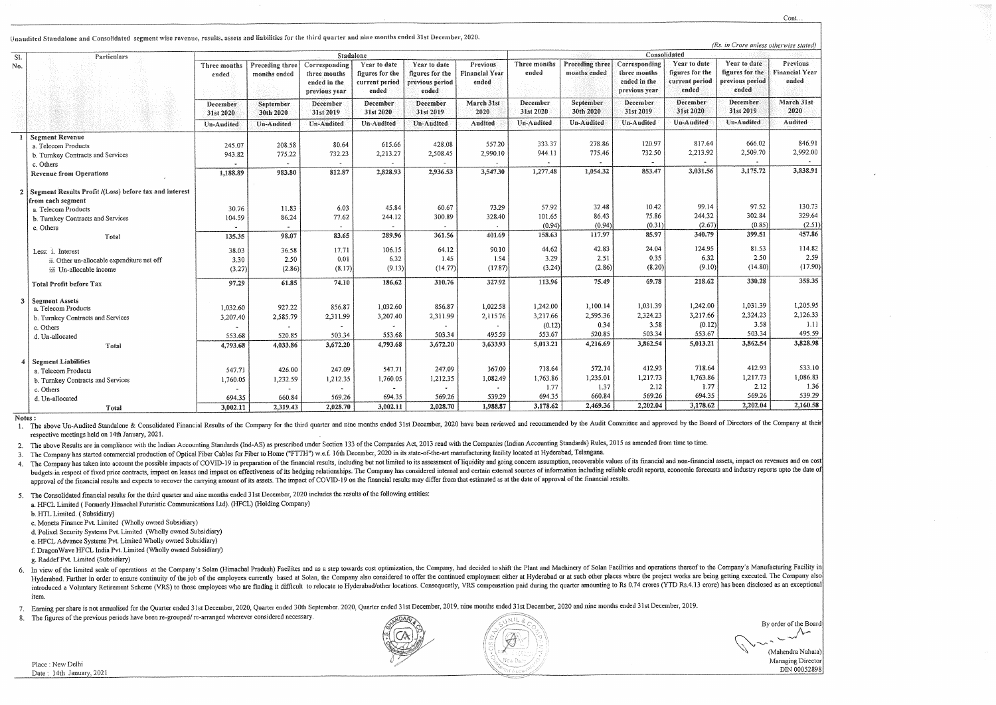Unaudited Standalone and Consolidated segment wise revenue, results, assets and liabilities for the third quarter and nine months ended 31st December, 2020.

| SI.          | Particulars                                                                 | Stadalone             |                                 |                                                                |                                                            |                                                             |                                            |                              | (Rs. in Crore u<br>Consolidated |                                                                |                                                             |                                                   |  |  |
|--------------|-----------------------------------------------------------------------------|-----------------------|---------------------------------|----------------------------------------------------------------|------------------------------------------------------------|-------------------------------------------------------------|--------------------------------------------|------------------------------|---------------------------------|----------------------------------------------------------------|-------------------------------------------------------------|---------------------------------------------------|--|--|
| Ýо.          |                                                                             | Three months<br>ended | Preceding three<br>months ended | Corresponding<br>three months<br>ended in the<br>previous year | Year to date<br>figures for the<br>current period<br>ended | Year to date<br>figures for the<br>previous period<br>ended | Previous<br><b>Financial Year</b><br>ended | Three months<br>ended        | Preceding three<br>months ended | Corresponding<br>three months<br>ended in the<br>previous year | Year to date:<br>figures for the<br>current period<br>ended | Year to di<br>figures for<br>previous pe<br>ended |  |  |
|              |                                                                             | December<br>31st 2020 | September<br>30th 2020          | December<br>31st 2019                                          | December<br>31st 2020                                      | December<br>31st 2019                                       | March 31st<br>2020                         | <b>December</b><br>31st 2020 | September<br>30th 2020          | December<br>31st 2019                                          | December<br>31st 2020                                       | Decembe<br>31st 201                               |  |  |
|              |                                                                             | Un-Audited            | Un-Audited                      | Un-Audited                                                     | <b>Un-Audited</b>                                          | Un-Audited                                                  | <b>Audited</b>                             | Un-Audited                   | <b>Un-Audited</b>               | Un-Audited                                                     | Un-Audited                                                  | Un-Audit                                          |  |  |
| $\mathbf{I}$ | <b>Segment Revenue</b>                                                      |                       |                                 |                                                                |                                                            |                                                             |                                            |                              |                                 |                                                                |                                                             |                                                   |  |  |
|              | a. Telecom Products                                                         | 245.07                | 208.58                          | 80.64                                                          | 615.66                                                     | 428.08                                                      | 557.20                                     | 333.37                       | 278.86                          | 120.97                                                         | 817.64                                                      | 66                                                |  |  |
|              | b. Turnkey Contracts and Services                                           | 943.82                | 775.22                          | 732.23                                                         | 2,213.27                                                   | 2,508.45                                                    | 2,990.10                                   | 944.11                       | 775.46                          | 732.50                                                         | 2,213.92                                                    | 2,50                                              |  |  |
|              | c. Others                                                                   |                       |                                 |                                                                |                                                            |                                                             |                                            |                              | $\sim$                          | <b>*</b>                                                       |                                                             |                                                   |  |  |
|              | <b>Revenue from Operations</b>                                              | 1,188.89              | 983.80                          | 812.87                                                         | 2,828.93                                                   | 2,936.53                                                    | 3,547.30                                   | 1,277.48                     | 1,054.32                        | 853.47                                                         | 3,031.56                                                    | 3,17                                              |  |  |
| $\mathbf{2}$ | Segment Results Profit /(Loss) before tax and interest<br>from each segment |                       |                                 |                                                                |                                                            |                                                             |                                            |                              |                                 |                                                                |                                                             |                                                   |  |  |
|              | a. Telecom Products                                                         | 30.76                 | 11.83                           | 6.03                                                           | 45.84                                                      | 60.67                                                       | 73.29                                      | 57.92                        | 32.48                           | 10.42                                                          | 99.14                                                       | 9                                                 |  |  |
|              | b. Turnkey Contracts and Services                                           | 104.59                | 86.24                           | 77.62                                                          | 244.12                                                     | 300.89                                                      | 328.40                                     | 101.65                       | 86.43                           | 75.86                                                          | 244.32                                                      | 30                                                |  |  |
|              | c. Others                                                                   |                       |                                 |                                                                |                                                            |                                                             |                                            | (0.94)                       | (0.94)                          | (0.31)                                                         | (2.67)                                                      |                                                   |  |  |
|              | Total                                                                       | 135.35                | 98.07                           | 83.65                                                          | 289.96                                                     | 361.56                                                      | 401.69                                     | 158.63                       | 117.97                          | 85.97                                                          | 340.79                                                      | 39                                                |  |  |
|              | Less: i. Interest                                                           | 38.03                 | 36.58                           | 17.71                                                          | 106.15                                                     | 64.12                                                       | 90.10                                      | 44.62                        | 42.83                           | 24.04                                                          | 124.95                                                      | 8                                                 |  |  |
|              | ii. Other un-allocable expenditure net off                                  | 3.30                  | 2.50                            | 0.01                                                           | 6.32                                                       | 1.45                                                        | 1.54                                       | 3.29                         | 2.51                            | 0.35                                                           | 6.32                                                        |                                                   |  |  |
|              | iii Un-allocable income                                                     | (3.27)                | (2.86)                          | (8.17)                                                         | (9.13)                                                     | (14.77)                                                     | (17.87)                                    | (3.24)                       | (2.86)                          | (8.20)                                                         | (9.10)                                                      | $\mathcal{L}$                                     |  |  |
|              | <b>Total Profit before Tax</b>                                              | 97.29                 | 61.85                           | 74.10                                                          | 186.62                                                     | 310.76                                                      | 327.92                                     | 113.96                       | 75.49                           | 69.78                                                          | 218.62                                                      | 33                                                |  |  |
| 3            | <b>Segment Assets</b>                                                       |                       |                                 |                                                                |                                                            |                                                             |                                            |                              |                                 |                                                                |                                                             |                                                   |  |  |
|              | a. Telecom Products                                                         | 1,032.60              | 927.22                          | 856.87                                                         | 1,032.60                                                   | 856.87                                                      | 1,022.58                                   | 1,242.00                     | 1,100.14                        | 1,031.39                                                       | 1,242.00<br>3,217.66                                        | 1,03<br>2,32                                      |  |  |
|              | b. Turnkey Contracts and Services                                           | 3,207.40              | 2,585.79                        | 2,311.99                                                       | 3,207.40                                                   | 2,311.99                                                    | 2,115.76                                   | 3,217.66                     | 2,595.36                        | 2,324.23                                                       |                                                             |                                                   |  |  |
|              | c. Others                                                                   |                       |                                 |                                                                |                                                            |                                                             |                                            | (0.12)                       | 0.34                            | 3.58                                                           | (0.12)<br>553.67                                            | 50                                                |  |  |
|              | d. Un-allocated                                                             | 553.68                | 520.85                          | 503.34                                                         | 553.68                                                     | 503.34                                                      | 495.59                                     | 553.67                       | 520.85                          | 503.34                                                         |                                                             |                                                   |  |  |
|              | Total                                                                       | 4,793.68              | 4,033.86                        | 3,672.20                                                       | 4,793.68                                                   | 3,672.20                                                    | 3,633.93                                   | 5,013.21                     | 4,216.69                        | 3,862.54                                                       | 5,013.21                                                    | 3,86                                              |  |  |
| 4            | <b>Segment Liabilities</b>                                                  |                       |                                 |                                                                |                                                            |                                                             |                                            |                              |                                 |                                                                |                                                             |                                                   |  |  |
|              | a. Telecom Products                                                         | 547.71                | 426.00                          | 247.09                                                         | 547.71                                                     | 247.09                                                      | 367.09                                     | 718.64                       | 572,14                          | 412.93                                                         | 718.64                                                      | 41                                                |  |  |
|              | b. Turnkey Contracts and Services                                           | 1,760.05              | 1,232.59                        | 1,212.35                                                       | 1,760.05                                                   | 1,212.35                                                    | 1,082.49                                   | 1,763.86                     | 1,235.01                        | 1,217.73                                                       | 1,763.86                                                    | 1,21                                              |  |  |
|              | c. Others                                                                   |                       |                                 | $\sim$                                                         | $\sim$                                                     |                                                             |                                            | 1.77                         | 1.37                            | 2.12                                                           | 1.77                                                        |                                                   |  |  |
|              | d. Un-allocated                                                             | 694.35                | 660.84                          | 569.26                                                         | 694.35                                                     | 569.26                                                      | 539.29                                     | 694.35                       | 660.84                          | 569.26                                                         | 694.35                                                      | 56                                                |  |  |
|              | Total                                                                       | 3,002.11              | 2,319.43                        | 2,028.70                                                       | 3,002.11                                                   | 2,028.70                                                    | 1,988.87                                   | 3,178.62                     | 2,469.36                        | 2,202.04                                                       | 3,178.62                                                    | 2,20                                              |  |  |

Notes:

1. The above Un-Audited Standalone & Consolidated Financial Results of the Company for the third quarter and nine months ended 31st December, 2020 have been reviewed and recommended by the Audit Committee and approved by t respective meetings held on 14th January, 2021.

2. The above Results are in compliance with the Indian Accounting Standards (Ind-AS) as prescribed under Section 133 of the Companies Act, 2013 read with the Companies (Indian Accounting Standards) Rules, 2015 as amended f

3. The Company has started commercial production of Optical Fiber Cables for Fiber to Home ("FTTH") w.e.f. 16th December, 2020 in its state-of-the-art manufacturing facility located at Hyderabad, Telangana.

4. The Company has taken into account the possible impacts of COVID-19 in preparation of the financial results, including but not limited to its assessment of liquidity and going concern assumption, recoverable values of i budgets in respect of fixed price contracts, impact on leases and impact on effectiveness of its hedging relationships. The Company has considered internal and certain external sources of information including reliable cre approval of the financial results and expects to recover the carrying amount of its assets. The impact of COVID-19 on the financial results may differ from that estimated as at the date of approval of the financial results

5. The Consolidated financial results for the third quarter and nine months ended 31st December, 2020 includes the results of the following entities:

a. HFCL Limited (Formerly Himachal Futuristic Communications Ltd). (HFCL) (Holding Company)

b. HTL Limited. (Subsidiary)

c. Moneta Finance Pvt. Limited (Wholly owned Subsidiary)

d. Polixel Security Systems Pvt. Limited (Wholly owned Subsidiary)

e. HFCL Advance Systems Pvt. Limited Wholly owned Subsidiary)

f. DragonWave HFCL India Pvt. Limited (Wholly owned Subsidiary)

g. Raddef Pvt. Limited (Subsidiary)

6. In view of the limited scale of operations at the Company's Solan (Himachal Pradesh) Facilites and as a step towards cost optimization, the Company, had decided to shift the Plant and Machinery of Solan Facilities and o Hyderabad. Further in order to ensure continuity of the job of the employees currently based at Solan, the Company also considered to offer the continued employment either at Hyderabad or at such other places where the pro introduced a Voluntary Retirement Scheme (VRS) to those employees who are finding it difficult to relocate to Hyderabad/other locations. Consequently, VRS compensation paid during the quarter amounting to Rs 0.74 crores (Y item

7. Earning per share is not annualised for the Quarter ended 31st December, 2020, Quarter ended 30th September. 2020, Quarter ended 31st December, 2019, nine months ended 31st December, 2020 and nine months ended 31st Dece

8. The figures of the previous periods have been re-grouped/re-arranged wherever considered necessary.

Place: New Delhi Date: 14th January, 2021

Cont. nless otherwise stated) late **Previous** the **Financial Year** finir: ended March 31st er 2020 ted Audited  $6.02$ 846.91 19.70 2,992.00  $\frac{1}{5.72}$ 3,838.91 7.52 130.73 12.84 329.64  $(0.85)$  $(2.51)$  $\frac{1}{19.51}$ 457.86  $31.53$ 114.82 2.50 2.59  $(4.80)$  $(17.90)$  $\frac{1}{80.28}$  $358.35$ 31.39 1,205.95 24.23 2,126.33 3.58  $1.11$ 03.34 495.59  $\frac{1}{52.54}$ 3,828.98 12.93 533.10 1,086.83 17.73 2.12 1.36 59.26 539.29  $\frac{1}{12.04}$ 2,160.58

By order of the Boar

 $-\sqrt{\lambda^{2}}$ 

(Mahendra Nahata) Managing Director DIN 00052898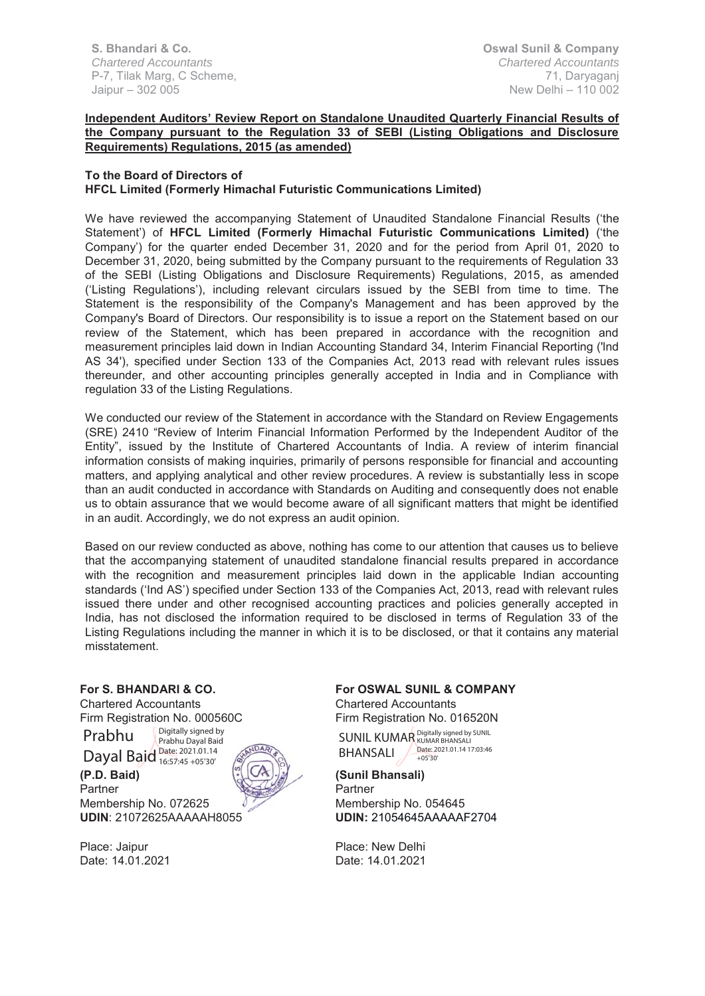**S. Bhandari & Co.**  *Chartered Accountants* P-7, Tilak Marg, C Scheme, Jaipur – 302 005

## **Independent Auditors' Review Report on Standalone Unaudited Quarterly Financial Results of the Company pursuant to the Regulation 33 of SEBI (Listing Obligations and Disclosure Requirements) Regulations, 2015 (as amended)**

#### **To the Board of Directors of HFCL Limited (Formerly Himachal Futuristic Communications Limited)**

We have reviewed the accompanying Statement of Unaudited Standalone Financial Results ('the Statement') of **HFCL Limited (Formerly Himachal Futuristic Communications Limited)** ('the Company') for the quarter ended December 31, 2020 and for the period from April 01, 2020 to December 31, 2020, being submitted by the Company pursuant to the requirements of Regulation 33 of the SEBI (Listing Obligations and Disclosure Requirements) Regulations, 2015, as amended ('Listing Regulations'), including relevant circulars issued by the SEBI from time to time. The Statement is the responsibility of the Company's Management and has been approved by the Company's Board of Directors. Our responsibility is to issue a report on the Statement based on our review of the Statement, which has been prepared in accordance with the recognition and measurement principles laid down in Indian Accounting Standard 34, Interim Financial Reporting ('lnd AS 34'), specified under Section 133 of the Companies Act, 2013 read with relevant rules issues thereunder, and other accounting principles generally accepted in India and in Compliance with regulation 33 of the Listing Regulations.

We conducted our review of the Statement in accordance with the Standard on Review Engagements (SRE) 2410 "Review of Interim Financial Information Performed by the Independent Auditor of the Entity", issued by the Institute of Chartered Accountants of India. A review of interim financial information consists of making inquiries, primarily of persons responsible for financial and accounting matters, and applying analytical and other review procedures. A review is substantially less in scope than an audit conducted in accordance with Standards on Auditing and consequently does not enable us to obtain assurance that we would become aware of all significant matters that might be identified in an audit. Accordingly, we do not express an audit opinion.

Based on our review conducted as above, nothing has come to our attention that causes us to believe that the accompanying statement of unaudited standalone financial results prepared in accordance with the recognition and measurement principles laid down in the applicable Indian accounting standards ('Ind AS') specified under Section 133 of the Companies Act, 2013, read with relevant rules issued there under and other recognised accounting practices and policies generally accepted in India, has not disclosed the information required to be disclosed in terms of Regulation 33 of the Listing Regulations including the manner in which it is to be disclosed, or that it contains any material misstatement.

### **For S. BHANDARI & CO.**

Chartered Accountants Firm Registration No. 000560C Prabhu Digitally signed by Prabhu Dayal Baid

Dayal Baid Date: 2021.01.14

**(P.D. Baid)** 16:57:45 +05'30'

Membership No. 072625

Partner



Place: Jaipur Date: 14.01.2021 **For OSWAL SUNIL & COMPANY** Chartered Accountants Firm Registration No. 016520N

SUNIL KUMAR Digitally signed by SUNIL BHANSALI Date: 2021.01.14 17:03:46 +05'30'

**(Sunil Bhansali)** Partner Membership No. 054645 **UDIN:** 21054645AAAAAF2704

Place: New Delhi Date: 14.01.2021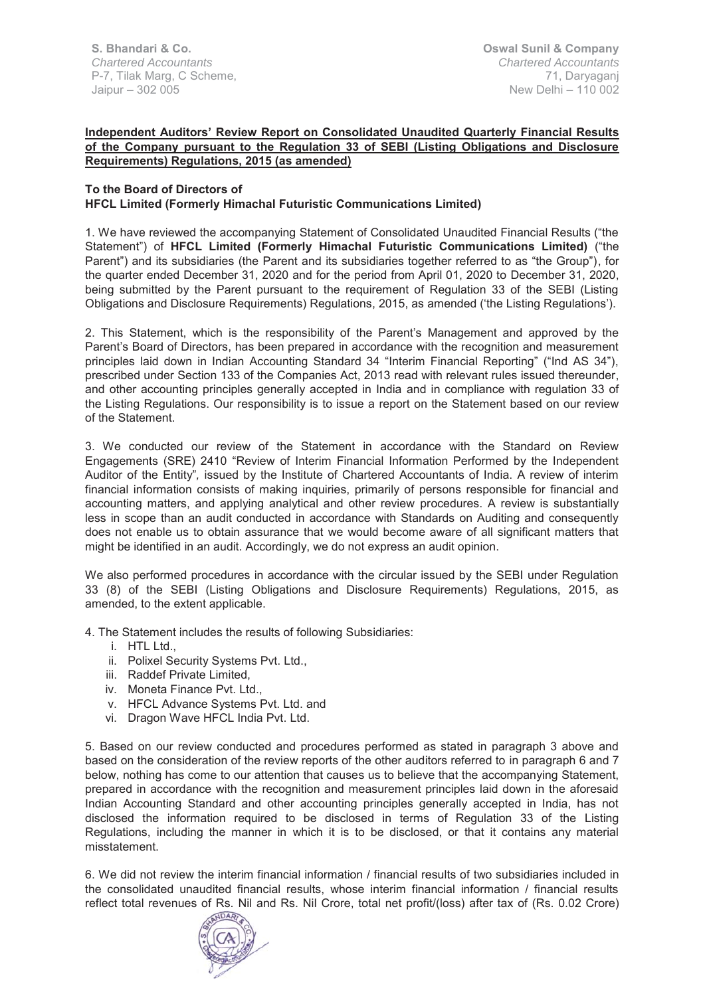**S. Bhandari & Co.**  *Chartered Accountants* P-7, Tilak Marg, C Scheme, Jaipur – 302 005

### **Independent Auditors' Review Report on Consolidated Unaudited Quarterly Financial Results of the Company pursuant to the Regulation 33 of SEBI (Listing Obligations and Disclosure Requirements) Regulations, 2015 (as amended)**

#### **To the Board of Directors of HFCL Limited (Formerly Himachal Futuristic Communications Limited)**

1. We have reviewed the accompanying Statement of Consolidated Unaudited Financial Results ("the Statement") of **HFCL Limited (Formerly Himachal Futuristic Communications Limited)** ("the Parent") and its subsidiaries (the Parent and its subsidiaries together referred to as "the Group"), for the quarter ended December 31, 2020 and for the period from April 01, 2020 to December 31, 2020, being submitted by the Parent pursuant to the requirement of Regulation 33 of the SEBI (Listing Obligations and Disclosure Requirements) Regulations, 2015, as amended ('the Listing Regulations').

2. This Statement, which is the responsibility of the Parent's Management and approved by the Parent's Board of Directors, has been prepared in accordance with the recognition and measurement principles laid down in Indian Accounting Standard 34 "Interim Financial Reporting" ("Ind AS 34"), prescribed under Section 133 of the Companies Act, 2013 read with relevant rules issued thereunder, and other accounting principles generally accepted in India and in compliance with regulation 33 of the Listing Regulations. Our responsibility is to issue a report on the Statement based on our review of the Statement.

3. We conducted our review of the Statement in accordance with the Standard on Review Engagements (SRE) 2410 "Review of Interim Financial Information Performed by the Independent Auditor of the Entity"*,* issued by the Institute of Chartered Accountants of India. A review of interim financial information consists of making inquiries, primarily of persons responsible for financial and accounting matters, and applying analytical and other review procedures. A review is substantially less in scope than an audit conducted in accordance with Standards on Auditing and consequently does not enable us to obtain assurance that we would become aware of all significant matters that might be identified in an audit. Accordingly, we do not express an audit opinion.

We also performed procedures in accordance with the circular issued by the SEBI under Regulation 33 (8) of the SEBI (Listing Obligations and Disclosure Requirements) Regulations, 2015, as amended, to the extent applicable.

4. The Statement includes the results of following Subsidiaries:

- i. HTL Ltd.,
- ii. Polixel Security Systems Pvt. Ltd.,
- iii. Raddef Private Limited,
- iv. Moneta Finance Pvt. Ltd.,
- v. HFCL Advance Systems Pvt. Ltd. and
- vi. Dragon Wave HFCL India Pvt. Ltd.

5. Based on our review conducted and procedures performed as stated in paragraph 3 above and based on the consideration of the review reports of the other auditors referred to in paragraph 6 and 7 below, nothing has come to our attention that causes us to believe that the accompanying Statement, prepared in accordance with the recognition and measurement principles laid down in the aforesaid Indian Accounting Standard and other accounting principles generally accepted in India, has not disclosed the information required to be disclosed in terms of Regulation 33 of the Listing Regulations, including the manner in which it is to be disclosed, or that it contains any material misstatement.

6. We did not review the interim financial information / financial results of two subsidiaries included in the consolidated unaudited financial results, whose interim financial information / financial results reflect total revenues of Rs. Nil and Rs. Nil Crore, total net profit/(loss) after tax of (Rs. 0.02 Crore)